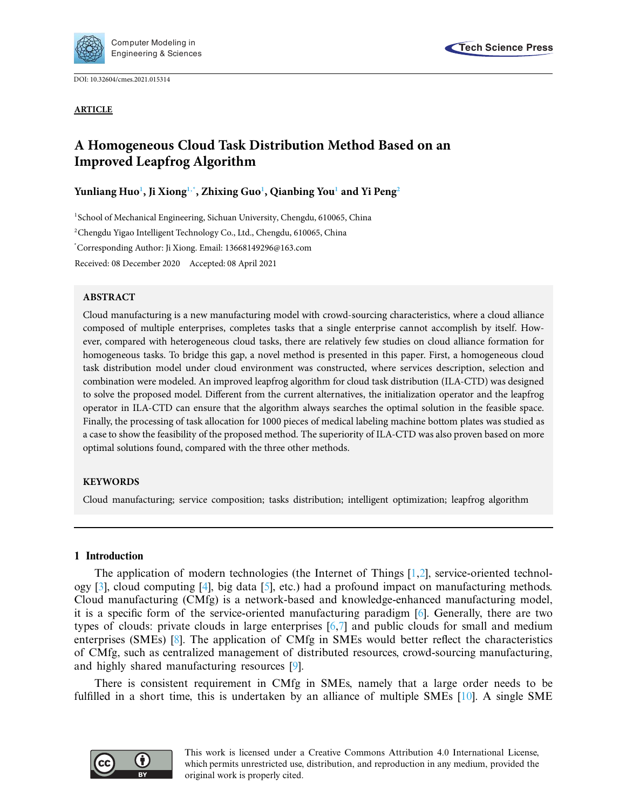

DOI: [10.32604/cmes.2021.015314](http://dx.doi.org/10.32604/cmes.2021.015314)



# **A Homogeneous Cloud Task Distribution Method Based on an Improved Leapfrog Algorithm**

**Yunliang Hu[o1](#page-0-0) , Ji Xion[g1,](#page-0-0)[\\*,](#page-0-1) Zhixing Gu[o1](#page-0-0) , Qianbing Yo[u1](#page-0-0) and Yi Pen[g2](#page-0-2)**

<span id="page-0-2"></span><span id="page-0-1"></span><span id="page-0-0"></span><sup>1</sup>School of Mechanical Engineering, Sichuan University, Chengdu, 610065, China 2 Chengdu Yigao Intelligent Technology Co., Ltd., Chengdu, 610065, China \* Corresponding Author: Ji Xiong. Email: 13668149296@163.com Received: 08 December 2020 Accepted: 08 April 2021

# **ABSTRACT**

Cloud manufacturing is a new manufacturing model with crowd-sourcing characteristics, where a cloud alliance composed of multiple enterprises, completes tasks that a single enterprise cannot accomplish by itself. However, compared with heterogeneous cloud tasks, there are relatively few studies on cloud alliance formation for homogeneous tasks. To bridge this gap, a novel method is presented in this paper. First, a homogeneous cloud task distribution model under cloud environment was constructed, where services description, selection and combination were modeled. An improved leapfrog algorithm for cloud task distribution (ILA-CTD) was designed to solve the proposed model. Different from the current alternatives, the initialization operator and the leapfrog operator in ILA-CTD can ensure that the algorithm always searches the optimal solution in the feasible space. Finally, the processing of task allocation for 1000 pieces of medical labeling machine bottom plates was studied as a case to show the feasibility of the proposed method. The superiority of ILA-CTD was also proven based on more optimal solutions found, compared with the three other methods.

# **KEYWORDS**

Cloud manufacturing; service composition; tasks distribution; intelligent optimization; leapfrog algorithm

# **1 Introduction**

The application of modern technologies (the Internet of Things [\[1](#page-18-0)[,2\]](#page-18-1), service-oriented technology [\[3\]](#page-18-2), cloud computing [\[4](#page-18-3)], big data [\[5\]](#page-18-4), etc.) had a profound impact on manufacturing methods. Cloud manufacturing (CMfg) is a network-based and knowledge-enhanced manufacturing model, it is a specific form of the service-oriented manufacturing paradigm [\[6](#page-18-5)]. Generally, there are two types of clouds: private clouds in large enterprises [\[6](#page-18-5)[,7\]](#page-18-6) and public clouds for small and medium enterprises (SMEs) [\[8\]](#page-18-7). The application of CMfg in SMEs would better reflect the characteristics of CMfg, such as centralized management of distributed resources, crowd-sourcing manufacturing, and highly shared manufacturing resources [\[9\]](#page-18-8).

There is consistent requirement in CMfg in SMEs, namely that a large order needs to be fulfilled in a short time, this is undertaken by an alliance of multiple SMEs [\[10\]](#page-18-9). A single SME

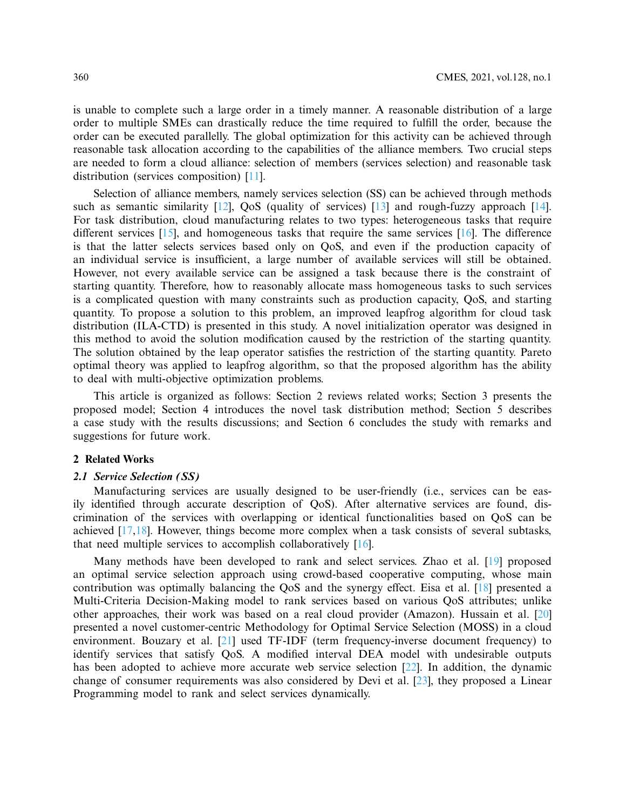is unable to complete such a large order in a timely manner. A reasonable distribution of a large order to multiple SMEs can drastically reduce the time required to fulfill the order, because the order can be executed parallelly. The global optimization for this activity can be achieved through reasonable task allocation according to the capabilities of the alliance members. Two crucial steps are needed to form a cloud alliance: selection of members (services selection) and reasonable task distribution (services composition) [\[11](#page-18-10)].

Selection of alliance members, namely services selection (SS) can be achieved through methods such as semantic similarity  $[12]$ , QoS (quality of services)  $[13]$  and rough-fuzzy approach  $[14]$ . For task distribution, cloud manufacturing relates to two types: heterogeneous tasks that require different services [\[15\]](#page-18-14), and homogeneous tasks that require the same services [\[16](#page-19-0)]. The difference is that the latter selects services based only on QoS, and even if the production capacity of an individual service is insufficient, a large number of available services will still be obtained. However, not every available service can be assigned a task because there is the constraint of starting quantity. Therefore, how to reasonably allocate mass homogeneous tasks to such services is a complicated question with many constraints such as production capacity, QoS, and starting quantity. To propose a solution to this problem, an improved leapfrog algorithm for cloud task distribution (ILA-CTD) is presented in this study. A novel initialization operator was designed in this method to avoid the solution modification caused by the restriction of the starting quantity. The solution obtained by the leap operator satisfies the restriction of the starting quantity. Pareto optimal theory was applied to leapfrog algorithm, so that the proposed algorithm has the ability to deal with multi-objective optimization problems.

This article is organized as follows: Section 2 reviews related works; Section 3 presents the proposed model; Section 4 introduces the novel task distribution method; Section 5 describes a case study with the results discussions; and Section 6 concludes the study with remarks and suggestions for future work.

#### **2 Related Works**

#### *2.1 Service Selection (SS)*

Manufacturing services are usually designed to be user-friendly (i.e., services can be easily identified through accurate description of QoS). After alternative services are found, discrimination of the services with overlapping or identical functionalities based on QoS can be achieved [\[17](#page-19-1)[,18\]](#page-19-2). However, things become more complex when a task consists of several subtasks, that need multiple services to accomplish collaboratively [\[16](#page-19-0)].

Many methods have been developed to rank and select services. Zhao et al. [\[19\]](#page-19-3) proposed an optimal service selection approach using crowd-based cooperative computing, whose main contribution was optimally balancing the QoS and the synergy effect. Eisa et al. [\[18](#page-19-2)] presented a Multi-Criteria Decision-Making model to rank services based on various QoS attributes; unlike other approaches, their work was based on a real cloud provider (Amazon). Hussain et al. [\[20\]](#page-19-4) presented a novel customer-centric Methodology for Optimal Service Selection (MOSS) in a cloud environment. Bouzary et al. [\[21](#page-19-5)] used TF-IDF (term frequency-inverse document frequency) to identify services that satisfy QoS. A modified interval DEA model with undesirable outputs has been adopted to achieve more accurate web service selection [\[22\]](#page-19-6). In addition, the dynamic change of consumer requirements was also considered by Devi et al. [\[23](#page-19-7)], they proposed a Linear Programming model to rank and select services dynamically.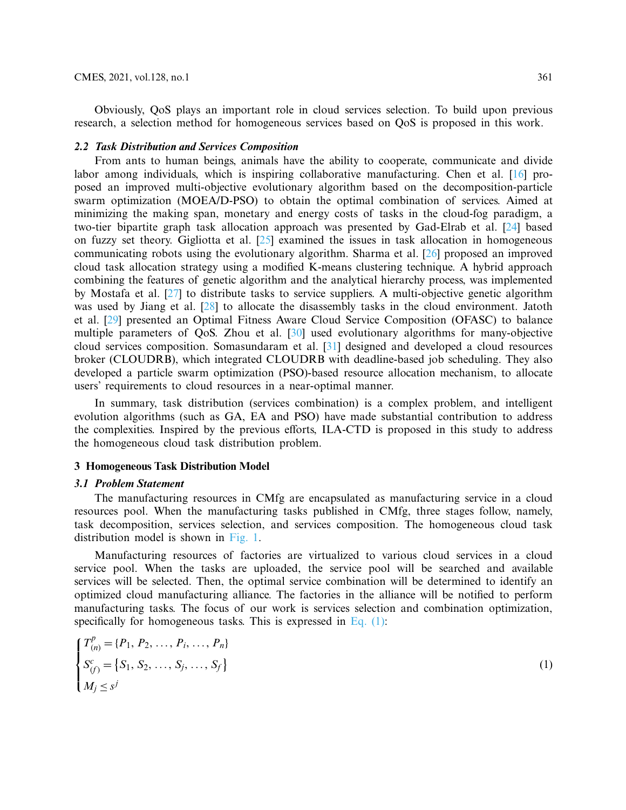Obviously, QoS plays an important role in cloud services selection. To build upon previous research, a selection method for homogeneous services based on QoS is proposed in this work.

# *2.2 Task Distribution and Services Composition*

From ants to human beings, animals have the ability to cooperate, communicate and divide labor among individuals, which is inspiring collaborative manufacturing. Chen et al. [\[16\]](#page-19-0) proposed an improved multi-objective evolutionary algorithm based on the decomposition-particle swarm optimization (MOEA/D-PSO) to obtain the optimal combination of services. Aimed at minimizing the making span, monetary and energy costs of tasks in the cloud-fog paradigm, a two-tier bipartite graph task allocation approach was presented by Gad-Elrab et al. [\[24\]](#page-19-8) based on fuzzy set theory. Gigliotta et al. [\[25\]](#page-19-9) examined the issues in task allocation in homogeneous communicating robots using the evolutionary algorithm. Sharma et al. [\[26\]](#page-19-10) proposed an improved cloud task allocation strategy using a modified K-means clustering technique. A hybrid approach combining the features of genetic algorithm and the analytical hierarchy process, was implemented by Mostafa et al. [\[27\]](#page-19-11) to distribute tasks to service suppliers. A multi-objective genetic algorithm was used by Jiang et al. [\[28](#page-19-12)] to allocate the disassembly tasks in the cloud environment. Jatoth et al. [\[29\]](#page-19-13) presented an Optimal Fitness Aware Cloud Service Composition (OFASC) to balance multiple parameters of QoS. Zhou et al. [\[30\]](#page-19-14) used evolutionary algorithms for many-objective cloud services composition. Somasundaram et al. [\[31](#page-19-15)] designed and developed a cloud resources broker (CLOUDRB), which integrated CLOUDRB with deadline-based job scheduling. They also developed a particle swarm optimization (PSO)-based resource allocation mechanism, to allocate users' requirements to cloud resources in a near-optimal manner.

In summary, task distribution (services combination) is a complex problem, and intelligent evolution algorithms (such as GA, EA and PSO) have made substantial contribution to address the complexities. Inspired by the previous efforts, ILA-CTD is proposed in this study to address the homogeneous cloud task distribution problem.

# **3 Homogeneous Task Distribution Model**

#### *3.1 Problem Statement*

The manufacturing resources in CMfg are encapsulated as manufacturing service in a cloud resources pool. When the manufacturing tasks published in CMfg, three stages follow, namely, task decomposition, services selection, and services composition. The homogeneous cloud task distribution model is shown in [Fig. 1.](#page-3-0)

Manufacturing resources of factories are virtualized to various cloud services in a cloud service pool. When the tasks are uploaded, the service pool will be searched and available services will be selected. Then, the optimal service combination will be determined to identify an optimized cloud manufacturing alliance. The factories in the alliance will be notified to perform manufacturing tasks. The focus of our work is services selection and combination optimization, specifically for homogeneous tasks. This is expressed in Eq.  $(1)$ :

<span id="page-2-0"></span>
$$
\begin{cases}\nT_{(n)}^p = \{P_1, P_2, \dots, P_i, \dots, P_n\} \\
S_{(f)}^c = \{S_1, S_2, \dots, S_j, \dots, S_f\} \\
M_j \leq s^j\n\end{cases}
$$
\n(1)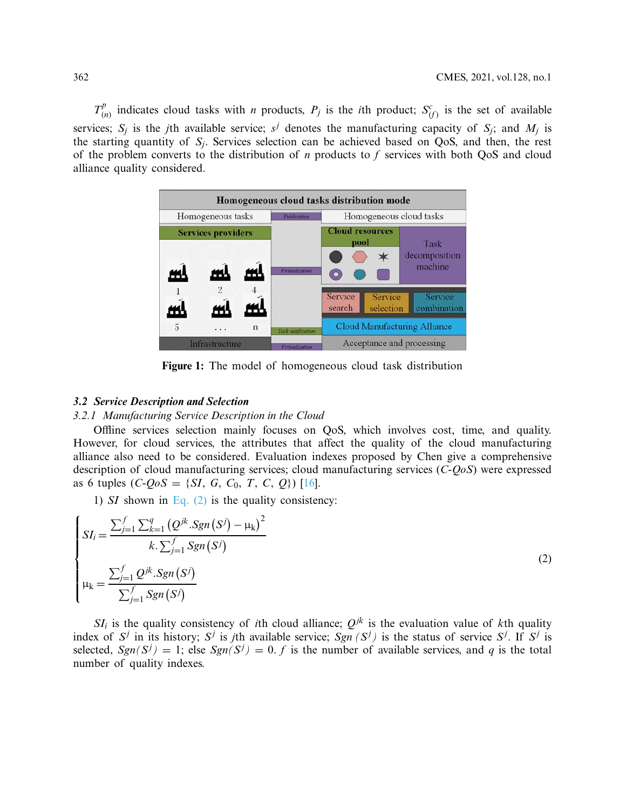$T^p_{(n)}$  indicates cloud tasks with *n* products,  $P_j$  is the *i*th product;  $S^c_{(f)}$  is the set of available services;  $S_i$  is the *j*th available service;  $s^j$  denotes the manufacturing capacity of  $S_i$ ; and  $M_i$  is the starting quantity of *Sj*. Services selection can be achieved based on QoS, and then, the rest of the problem converts to the distribution of *n* products to *f* services with both QoS and cloud alliance quality considered.



<span id="page-3-1"></span><span id="page-3-0"></span>**Figure 1:** The model of homogeneous cloud task distribution

#### *3.2 Service Description and Selection*

## *3.2.1 Manufacturing Service Description in the Cloud*

Offline services selection mainly focuses on QoS, which involves cost, time, and quality. However, for cloud services, the attributes that affect the quality of the cloud manufacturing alliance also need to be considered. Evaluation indexes proposed by Chen give a comprehensive description of cloud manufacturing services; cloud manufacturing services (*C-QoS*) were expressed as 6 tuples (*C-QoS* = {*SI*, *G*, *C*0, *T*, *C*, *Q*}) [\[16\]](#page-19-0).

1) *SI* shown in Eq.  $(2)$  is the quality consistency:

$$
\begin{cases}\nSI_i = \frac{\sum_{j=1}^f \sum_{k=1}^q (Q^{jk} \cdot Sgn(S^j) - \mu_k)^2}{k \cdot \sum_{j=1}^f Sgn(S^j)} \\
\mu_k = \frac{\sum_{j=1}^f Q^{jk} \cdot Sgn(S^j)}{\sum_{j=1}^f Sgn(S^j)}\n\end{cases}
$$
\n(2)

 $SI_i$  is the quality consistency of *i*th cloud alliance;  $Q^{jk}$  is the evaluation value of *k*th quality index of  $S^j$  in its history;  $S^j$  is *j*th available service;  $Sgn(S^j)$  is the status of service  $S^j$ . If  $S^j$  is selected,  $Sgn(S^{j}) = 1$ ; else  $Sgn(S^{j}) = 0$ . *f* is the number of available services, and *q* is the total number of quality indexes.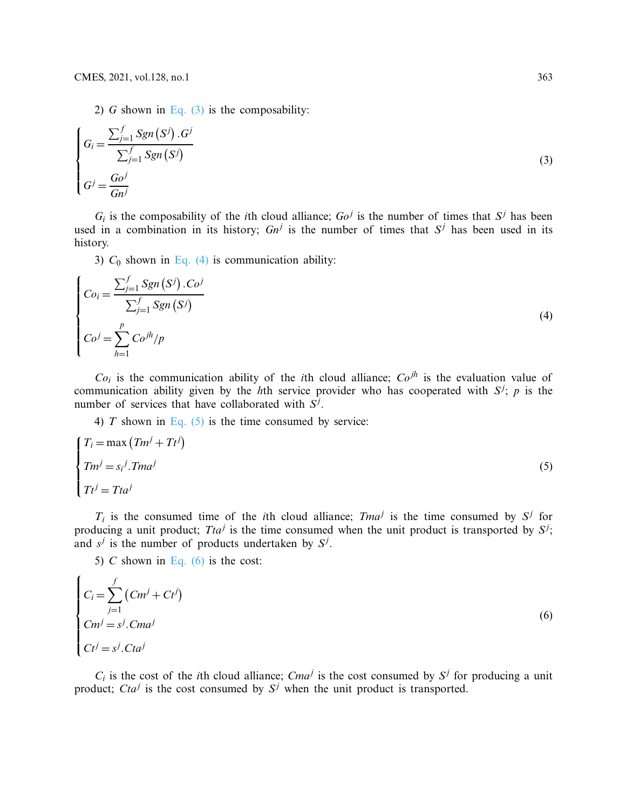<span id="page-4-0"></span>2) *G* shown in Eq.  $(3)$  is the composability:

$$
\begin{cases}\nG_i = \frac{\sum_{j=1}^f Sgn(S^j) . G^j}{\sum_{j=1}^f Sgn(S^j)} \\
G^j = \frac{Go^j}{Gn^j}\n\end{cases}
$$
\n(3)

 $G_i$  is the composability of the *i*th cloud alliance;  $Go<sup>j</sup>$  is the number of times that  $S<sup>j</sup>$  has been used in a combination in its history;  $Gn^j$  is the number of times that  $S^j$  has been used in its history.

<span id="page-4-1"></span>3)  $C_0$  shown in [Eq. \(4\)](#page-4-1) is communication ability:

$$
\begin{cases}\nCo_i = \frac{\sum_{j=1}^f Sgn(S^j) \cdot Co^j}{\sum_{j=1}^f Sgn(S^j)} \\
Co^j = \sum_{h=1}^p Co^{jh}/p\n\end{cases}
$$
\n(4)

 $Co<sub>i</sub>$  is the communication ability of the *i*th cloud alliance;  $Co<sup>jh</sup>$  is the evaluation value of communication ability given by the *h*th service provider who has cooperated with  $S^j$ ; *p* is the number of services that have collaborated with *S<sup>j</sup>* .

<span id="page-4-2"></span>4)  $T$  shown in [Eq. \(5\)](#page-4-2) is the time consumed by service:

$$
\begin{cases}\nT_i = \max (Tm^j + Tt^j) \\
Tm^j = s_i^j . Tma^j \\
Tt^j = Tta^j\n\end{cases}
$$
\n(5)

 $T_i$  is the consumed time of the *i*th cloud alliance; *Tma<sup>j</sup>* is the time consumed by  $S^j$  for producing a unit product; *Tta<sup>j</sup>* is the time consumed when the unit product is transported by  $S^j$ ; and  $s^j$  is the number of products undertaken by  $S^j$ .

<span id="page-4-3"></span>5) *C* shown in [Eq. \(6\)](#page-4-3) is the cost:

$$
\begin{cases}\nC_i = \sum_{j=1}^f \left( C m^j + C t^j \right) \\
C m^j = s^j. C m a^j \\
C t^j = s^j. C t a^j\n\end{cases}
$$
\n(6)

 $C_i$  is the cost of the *i*th cloud alliance; *Cma<sup>j</sup>* is the cost consumed by  $S^j$  for producing a unit product; *Cta<sup>j</sup>* is the cost consumed by  $S^j$  when the unit product is transported.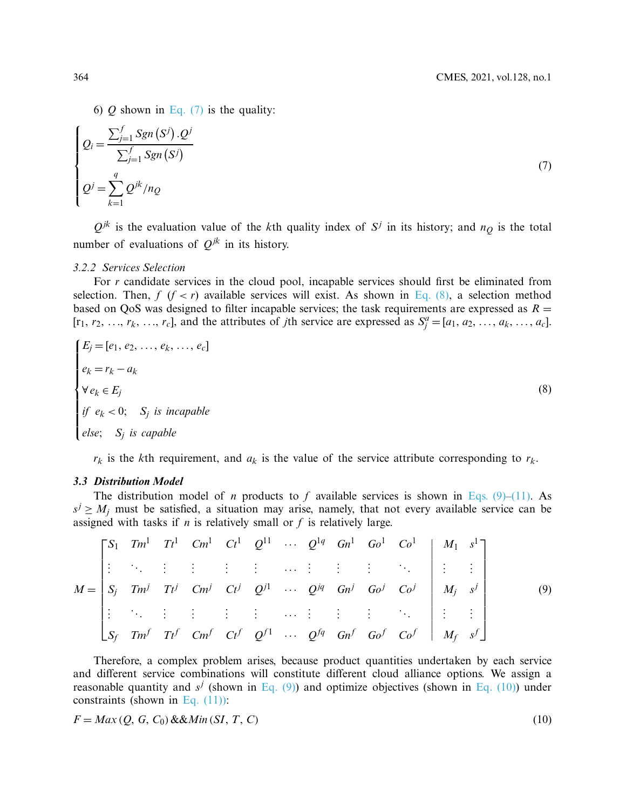<span id="page-5-0"></span>6)  $Q$  shown in [Eq. \(7\)](#page-5-0) is the quality:

$$
\begin{cases}\nQ_i = \frac{\sum_{j=1}^f Sgn(S^j) \cdot Q^j}{\sum_{j=1}^f Sgn(S^j)} \\
Q^j = \sum_{k=1}^q Q^{jk} / n_Q\n\end{cases} \tag{7}
$$

 $Q^{jk}$  is the evaluation value of the *k*th quality index of  $S^j$  in its history; and  $n_Q$  is the total number of evaluations of  $Q^{jk}$  in its history.

#### *3.2.2 Services Selection*

For *r* candidate services in the cloud pool, incapable services should first be eliminated from selection. Then,  $f$  ( $f < r$ ) available services will exist. As shown in [Eq. \(8\),](#page-5-1) a selection method based on QoS was designed to filter incapable services; the task requirements are expressed as  $R =$  $[r_1, r_2, \ldots, r_k, \ldots, r_c]$ , and the attributes of *j*th service are expressed as  $S_j^a = [a_1, a_2, \ldots, a_k, \ldots, a_c]$ .

<span id="page-5-1"></span>
$$
E_j = [e_1, e_2, \dots, e_k, \dots, e_c]
$$
  
\n
$$
e_k = r_k - a_k
$$
  
\n
$$
\forall e_k \in E_j
$$
  
\nif  $e_k < 0$ ;  $S_j$  is incapable  
\nelse;  $S_j$  is capable

<span id="page-5-2"></span> $r_k$  is the *k*th requirement, and  $a_k$  is the value of the service attribute corresponding to  $r_k$ .

## *3.3 Distribution Model*

The distribution model of *n* products to *f* available services is shown in [Eqs. \(9\)–](#page-5-2)[\(11\).](#page-6-0) As  $s^j \geq M_i$  must be satisfied, a situation may arise, namely, that not every available service can be assigned with tasks if  $n$  is relatively small or  $f$  is relatively large.

$$
M = \begin{bmatrix} S_1 & Tm^1 & Tt^1 & Cm^1 & Ct^1 & Q^{11} & \cdots & Q^{1q} & Gn^1 & Go^1 & Co^1 \\ \vdots & \vdots & \vdots & \vdots & \vdots & \ddots & \vdots & \vdots & \vdots \\ S_j & Tm^j & Tt^j & Cm^j & Ct^j & Q^{j1} & \cdots & Q^{jq} & Gn^j & Go^j & Co^j \\ \vdots & \vdots & \vdots & \vdots & \vdots & \vdots & \ddots & \vdots & \vdots & \vdots \\ S_f & Tm^f & Tt^f & Cm^f & Ct^f & Q^{f1} & \cdots & Q^{fq} & Gn^f & Go^f & Co^f \end{bmatrix} \begin{bmatrix} M_1 & s^1 \\ M_2 & s^j \\ M_j & s^j \\ \vdots & \vdots \\ M_f & s^f \end{bmatrix}
$$
 (9)

Therefore, a complex problem arises, because product quantities undertaken by each service and different service combinations will constitute different cloud alliance options. We assign a reasonable quantity and  $s^j$  (shown in [Eq. \(9\)\)](#page-5-2) and optimize objectives (shown in [Eq. \(10\)\)](#page-5-3) under constraints (shown in Eq.  $(11)$ ):

<span id="page-5-3"></span>
$$
F = Max(Q, G, C_0) & \& Min(SI, T, C) \tag{10}
$$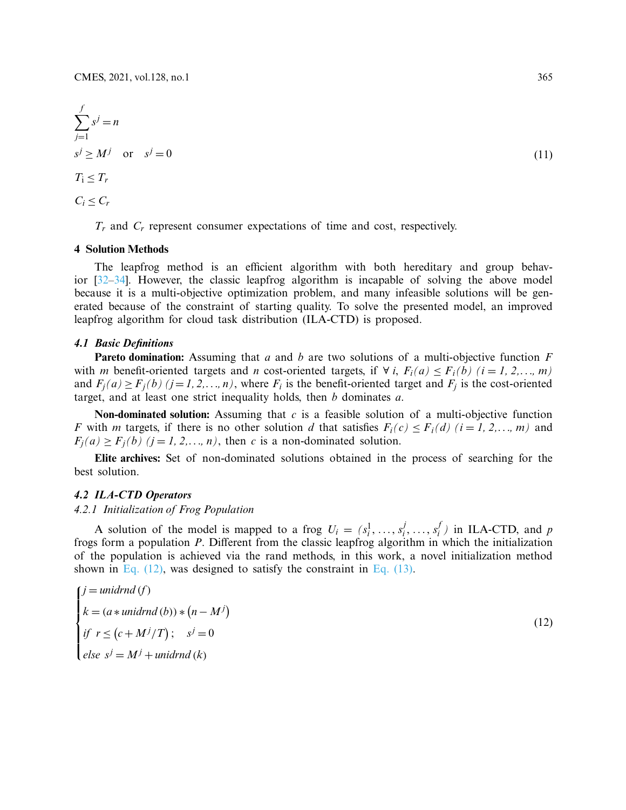$$
\sum_{j=1}^{f} s^{j} = n
$$
  
\n
$$
s^{j} \ge M^{j} \quad \text{or} \quad s^{j} = 0
$$
  
\n
$$
T_{1} \le T_{r}
$$
  
\n
$$
C_{i} \le C_{r}
$$
\n(11)

*Tr* and *Cr* represent consumer expectations of time and cost, respectively.

#### **4 Solution Methods**

The leapfrog method is an efficient algorithm with both hereditary and group behavior [\[32](#page-19-16)[–34\]](#page-20-0). However, the classic leapfrog algorithm is incapable of solving the above model because it is a multi-objective optimization problem, and many infeasible solutions will be generated because of the constraint of starting quality. To solve the presented model, an improved leapfrog algorithm for cloud task distribution (ILA-CTD) is proposed.

## *4.1 Basic Definitions*

**Pareto domination:** Assuming that *a* and *b* are two solutions of a multi-objective function *F* with *m* benefit-oriented targets and *n* cost-oriented targets, if  $\forall i$ ,  $F_i(a) \leq F_i(b)$  ( $i = 1, 2, \ldots, m$ ) and  $F_i(a) \geq F_i(b)$  ( $j = 1, 2, ..., n$ ), where  $F_i$  is the benefit-oriented target and  $F_i$  is the cost-oriented target, and at least one strict inequality holds, then *b* dominates *a*.

**Non-dominated solution:** Assuming that *c* is a feasible solution of a multi-objective function *F* with *m* targets, if there is no other solution *d* that satisfies  $F_i(c) \leq F_i(d)$  (*i* = *1, 2,..., m*) and  $F_i(a) \geq F_i(b)$  ( $j = 1, 2, \ldots, n$ ), then *c* is a non-dominated solution.

**Elite archives:** Set of non-dominated solutions obtained in the process of searching for the best solution.

## *4.2 ILA-CTD Operators*

# *4.2.1 Initialization of Frog Population*

A solution of the model is mapped to a frog  $U_i = (s_i^1, \ldots, s_i^j, \ldots, s_i^f)$  in ILA-CTD, and *p* frogs form a population *P*. Different from the classic leapfrog algorithm in which the initialization of the population is achieved via the rand methods, in this work, a novel initialization method shown in Eq.  $(12)$ , was designed to satisfy the constraint in Eq.  $(13)$ .

<span id="page-6-1"></span>
$$
\begin{cases}\nj = \text{unidrnd}(f) \\
k = (a * \text{unidrnd}(b)) * (n - M^j) \\
\text{if } r \le (c + M^j / T); \quad s^j = 0 \\
\text{else } s^j = M^j + \text{unidrnd}(k)\n\end{cases} \tag{12}
$$

<span id="page-6-0"></span><sup>(</sup>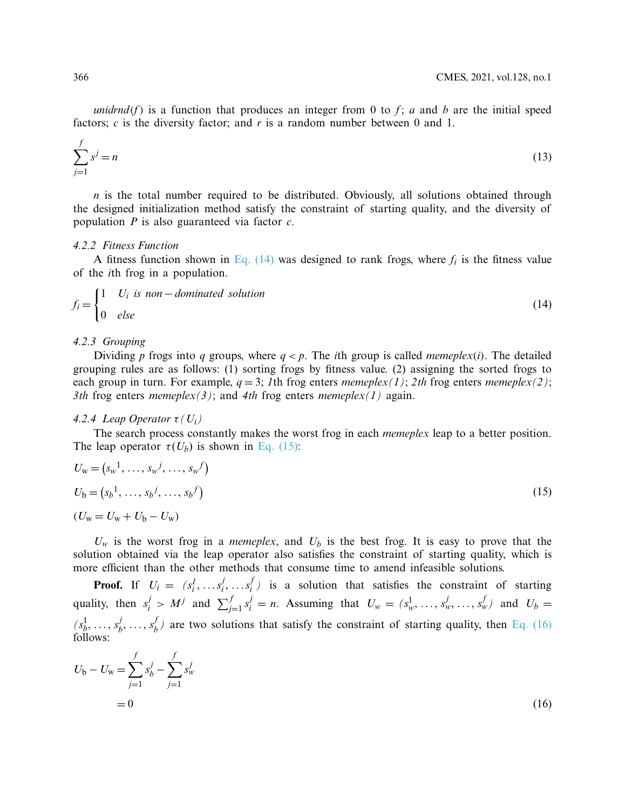<span id="page-7-0"></span>*unidrnd*(*f*) is a function that produces an integer from 0 to *f*; *a* and *b* are the initial speed factors;  $c$  is the diversity factor; and  $r$  is a random number between 0 and 1.

$$
\sum_{j=1}^{f} s^j = n \tag{13}
$$

*n* is the total number required to be distributed. Obviously, all solutions obtained through the designed initialization method satisfy the constraint of starting quality, and the diversity of population *P* is also guaranteed via factor *c*.

#### *4.2.2 Fitness Function*

<span id="page-7-1"></span>A fitness function shown in Eq.  $(14)$  was designed to rank frogs, where  $f_i$  is the fitness value of the *i*th frog in a population.

$$
f_i = \begin{cases} 1 & U_i \text{ is non–dominated solution} \\ 0 & \text{else} \end{cases} \tag{14}
$$

#### *4.2.3 Grouping*

Dividing *p* frogs into *q* groups, where  $q < p$ . The *i*th group is called *memeplex(i)*. The detailed grouping rules are as follows: (1) sorting frogs by fitness value. (2) assigning the sorted frogs to each group in turn. For example,  $q = 3$ ; *1*th frog enters *memeplex(1)*; *2th* frog enters *memeplex(2)*; *3th* frog enters *memeplex(3)*; and *4th* frog enters *memeplex(1)* again.

## *4.2.4 Leap Operator*  $\tau$  *(U<sub>i</sub>)*

The search process constantly makes the worst frog in each *memeplex* leap to a better position. The leap operator  $\tau(U_h)$  is shown in [Eq. \(15\):](#page-7-2)

<span id="page-7-2"></span>
$$
U_{w} = (s_{w}^{1}, \ldots, s_{w}^{j}, \ldots, s_{w}^{f})
$$
  
\n
$$
U_{b} = (s_{b}^{1}, \ldots, s_{b}^{j}, \ldots, s_{b}^{f})
$$
  
\n
$$
(U_{w} = U_{w} + U_{b} - U_{w})
$$
\n(15)

 $U_w$  is the worst frog in a *memeplex*, and  $U_b$  is the best frog. It is easy to prove that the solution obtained via the leap operator also satisfies the constraint of starting quality, which is more efficient than the other methods that consume time to amend infeasible solutions.

**Proof.** If  $U_i = (s_i^1, \ldots s_i^j, \ldots s_i^f)$  is a solution that satisfies the constraint of starting quality, then  $s_i^j > M^j$  and  $\sum_{j=1}^f s_i^j = n$ . Assuming that  $U_w = (s_w^1, \dots, s_w^j, \dots, s_w^j)$  and  $U_b =$  $(s_1^1, \ldots, s_b^j, \ldots, s_b^f)$  are two solutions that satisfy the constraint of starting quality, then [Eq. \(16\)](#page-7-3) follows:

<span id="page-7-3"></span>
$$
U_{\rm b} - U_{\rm w} = \sum_{j=1}^{f} s_b^j - \sum_{j=1}^{f} s_w^j
$$
  
= 0 (16)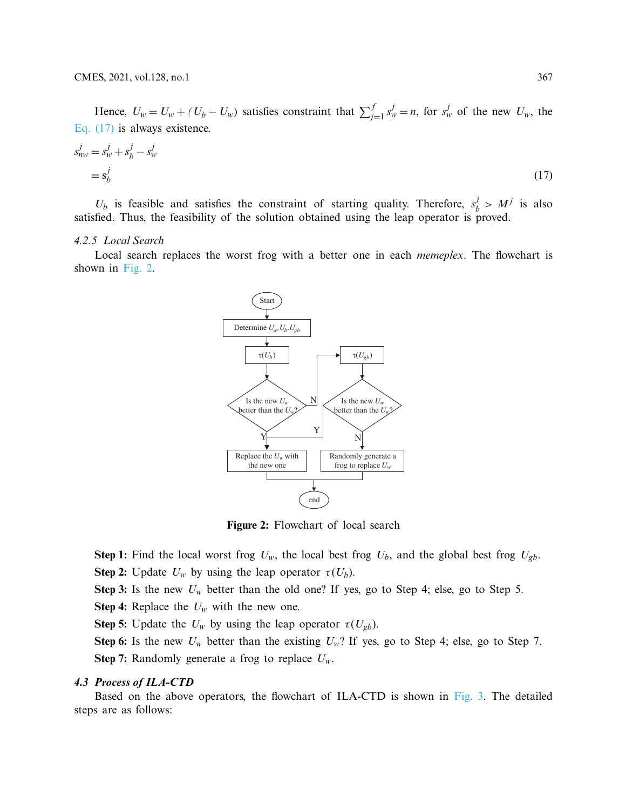Hence,  $U_w = U_w + (U_b - U_w)$  satisfies constraint that  $\sum_{j=1}^{f} s_w^j = n$ , for  $s_w^j$  of the new  $U_w$ , the [Eq. \(17\)](#page-8-0) is always existence.

$$
s_{nw}^j = s_w^j + s_b^j - s_w^j
$$
  
=  $s_b^j$  (17)

 $U_b$  is feasible and satisfies the constraint of starting quality. Therefore,  $s_b^j > M^j$  is also satisfied. Thus, the feasibility of the solution obtained using the leap operator is proved.

## *4.2.5 Local Search*

Local search replaces the worst frog with a better one in each *memeplex*. The flowchart is shown in [Fig. 2.](#page-8-1)

<span id="page-8-0"></span>

<span id="page-8-1"></span>**Figure 2:** Flowchart of local search

**Step 1:** Find the local worst frog  $U_w$ , the local best frog  $U_b$ , and the global best frog  $U_{gb}$ . **Step 2:** Update  $U_w$  by using the leap operator  $\tau(U_b)$ .

**Step 3:** Is the new  $U_w$  better than the old one? If yes, go to Step 4; else, go to Step 5.

**Step 4:** Replace the *Uw* with the new one.

**Step 5:** Update the  $U_w$  by using the leap operator  $\tau(U_{gb})$ .

**Step 6:** Is the new  $U_w$  better than the existing  $U_w$ ? If yes, go to Step 4; else, go to Step 7. **Step 7:** Randomly generate a frog to replace  $U_w$ .

## *4.3 Process of ILA-CTD*

Based on the above operators, the flowchart of ILA-CTD is shown in [Fig. 3.](#page-9-0) The detailed steps are as follows: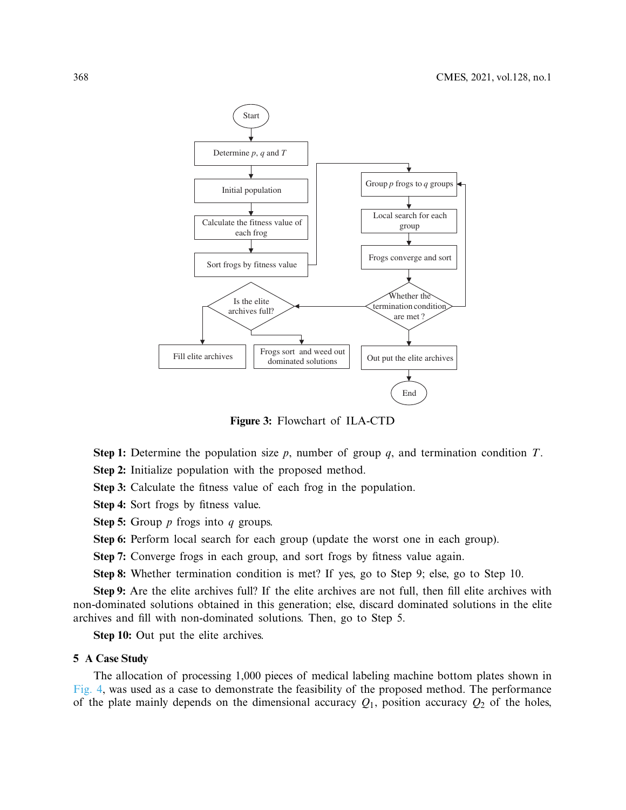

<span id="page-9-0"></span>**Figure 3:** Flowchart of ILA-CTD

**Step 1:** Determine the population size *p*, number of group *q*, and termination condition *T*.

**Step 2:** Initialize population with the proposed method.

**Step 3:** Calculate the fitness value of each frog in the population.

**Step 4:** Sort frogs by fitness value.

**Step 5:** Group *p* frogs into *q* groups.

**Step 6:** Perform local search for each group (update the worst one in each group).

**Step 7:** Converge frogs in each group, and sort frogs by fitness value again.

**Step 8:** Whether termination condition is met? If yes, go to Step 9; else, go to Step 10.

**Step 9:** Are the elite archives full? If the elite archives are not full, then fill elite archives with non-dominated solutions obtained in this generation; else, discard dominated solutions in the elite archives and fill with non-dominated solutions. Then, go to Step 5.

**Step 10:** Out put the elite archives.

## **5 A Case Study**

The allocation of processing 1,000 pieces of medical labeling machine bottom plates shown in [Fig. 4,](#page-10-0) was used as a case to demonstrate the feasibility of the proposed method. The performance of the plate mainly depends on the dimensional accuracy  $Q_1$ , position accuracy  $Q_2$  of the holes,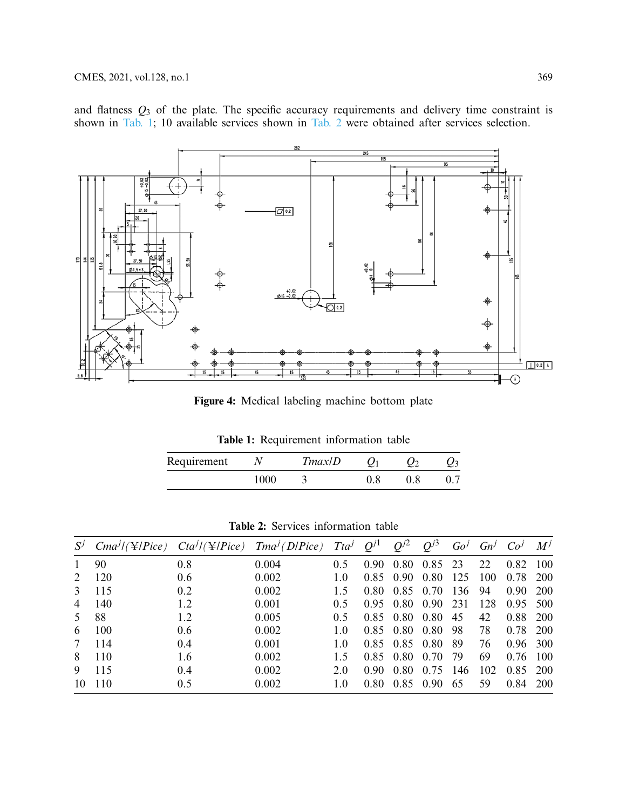and flatness *Q*<sup>3</sup> of the plate. The specific accuracy requirements and delivery time constraint is shown in [Tab. 1;](#page-10-1) 10 available services shown in [Tab. 2](#page-10-2) were obtained after services selection.



**Figure 4:** Medical labeling machine bottom plate

<span id="page-10-1"></span><span id="page-10-0"></span>**Table 1:** Requirement information table

| Requirement |      | Tmax/D |  |  |
|-------------|------|--------|--|--|
|             | 1000 |        |  |  |

<span id="page-10-2"></span>**Table 2:** Services information table

|                | $S^j$ Cma <sup>j</sup> /(\\text{ <i> </i> } Pice) Cta <sup>j</sup> /(\\text{ <i> </i> } Pice) Tma <sup>j</sup> (D Pice) Tta <sup>j</sup> Q <sup>j1</sup> |     |       |               |      | $Q^{j2}$                     | $Q^{j3}$  |      |     | $Go^j$ $Gn^j$ $Co^j$ $M^j$ |       |
|----------------|----------------------------------------------------------------------------------------------------------------------------------------------------------|-----|-------|---------------|------|------------------------------|-----------|------|-----|----------------------------|-------|
| $\mathbf{1}$   | 90                                                                                                                                                       | 0.8 | 0.004 | 0.5           |      | 0.90 0.80 0.85 23            |           |      | 22  | 0.82                       | - 100 |
|                | 2 120                                                                                                                                                    | 0.6 | 0.002 | 10            |      | 0.85 0.90 0.80 125           |           |      | 100 | 0.78 200                   |       |
|                | 3 115                                                                                                                                                    | 0.2 | 0.002 | 15            |      | $0.80 \quad 0.85 \quad 0.70$ |           | 136  | 94  | 0.90                       | -200  |
| $\overline{4}$ | 140                                                                                                                                                      | 1.2 | 0.001 | $0.5^{\circ}$ |      | $0.95$ 0.80 0.90             |           | 231  | 128 | 0.95 500                   |       |
| 5.             | 88                                                                                                                                                       | 1.2 | 0.005 | 0.5           |      | $0.85$ 0.80 0.80             |           | 45   | 42  | 0.88                       | -200  |
| 6              | 100                                                                                                                                                      | 0.6 | 0.002 | 1.0           |      | 0.85 0.80 0.80 98            |           |      | 78  | 0.78 200                   |       |
| 7              | 114                                                                                                                                                      | 0.4 | 0.001 | 1.0           |      | 0.85 0.85 0.80               |           | - 89 | 76  | 0.96 300                   |       |
| 8              | 110                                                                                                                                                      | 1.6 | 0.002 | 15            |      | 0.85 0.80 0.70               |           | -79  | 69  | 0.76                       | -100  |
| 9              | 115                                                                                                                                                      | 0.4 | 0.002 | 2.0           | 0.90 |                              | 0.80 0.75 | 146  | 102 | 0.85 200                   |       |
|                | 10 110                                                                                                                                                   | 0.5 | 0.002 | 1.0           | 0.80 | 0.85 0.90                    |           | 65   | 59  | 0.84                       | -200  |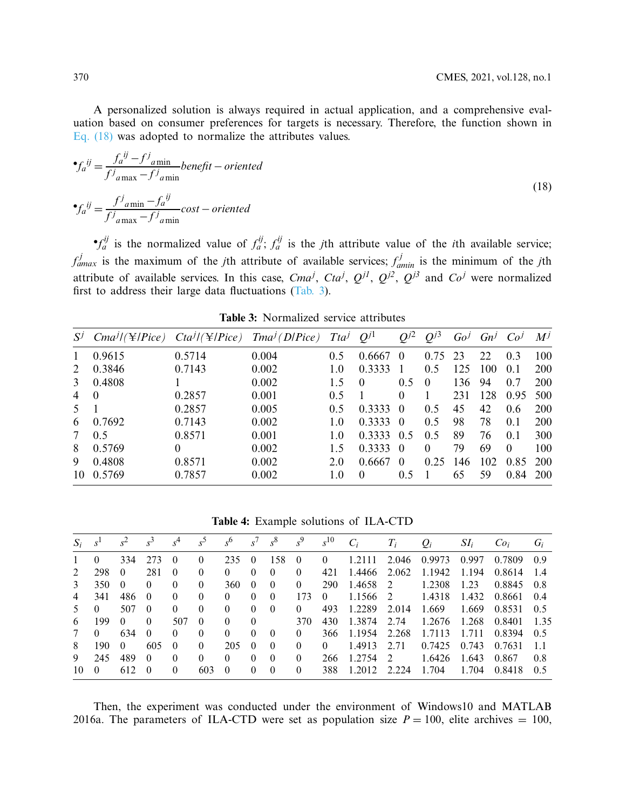A personalized solution is always required in actual application, and a comprehensive evaluation based on consumer preferences for targets is necessary. Therefore, the function shown in [Eq. \(18\)](#page-11-0) was adopted to normalize the attributes values.

$$
\bullet f_a^{ij} = \frac{f_a^{ij} - f^j_{a\min}}{f^j_{a\max} - f^j_{a\min}} \text{beneft} - \text{oriented}
$$
\n
$$
\bullet f_a^{ij} = \frac{f^j_{a\min} - f_a^{ij}}{f^j_{a\max} - f^j_{a\min}} \text{cost} - \text{oriented}
$$
\n(18)

 $\sigma f_a^{ij}$  is the normalized value of  $f_a^{ij}$ ;  $f_a^{ij}$  is the *j*th attribute value of the *i*th available service;  $f_{\text{dmax}}^j$  is the maximum of the *j*th attribute of available services;  $f_{\text{dmin}}^j$  is the minimum of the *j*th attribute of available services. In this case, *Cma<sup>j</sup>*, *Cta<sup>j</sup>*,  $Q^{j1}$ ,  $Q^{j2}$ ,  $Q^{j3}$  and  $Co^j$  were normalized first to address their large data fluctuations [\(Tab. 3\)](#page-11-1).

| $S^j$          | $Cma^{j}/(\mathcal{F}/Pice)$ $Cta^{j}/(\mathcal{F}/Pice)$ $Tma^{j}/D/Pice)$ $Tta^{j}$ |          |       |     | $Q^{j1}$ | $O^{j2}$ | $O^{j3}$ | Go <sup>J</sup> | $Gn^j$ | Co <sup>J</sup> | $M^J$      |
|----------------|---------------------------------------------------------------------------------------|----------|-------|-----|----------|----------|----------|-----------------|--------|-----------------|------------|
| 1              | 0.9615                                                                                | 0.5714   | 0.004 | 0.5 | 0.6667   | $\theta$ | 0.75     | 23              | 22     | 0.3             | 100        |
| 2              | 0.3846                                                                                | 0.7143   | 0.002 | 1.0 | 0.3333   |          | 0.5      | 125             | 100    | 0.1             | 200        |
| 3              | 0.4808                                                                                |          | 0.002 | 15  | $\Omega$ | 0.5      | $\Omega$ | 136             | 94     | 0.7             | 200        |
| 4              | $\theta$                                                                              | 0.2857   | 0.001 | 0.5 |          | $\Omega$ |          | 231             | 128    | 0.95            | 500        |
| 5.             |                                                                                       | 0.2857   | 0.005 | 0.5 | 0.3333   | $\Omega$ | 0.5      | 45              | 42     | 0.6             | 200        |
| 6              | 0.7692                                                                                | 0.7143   | 0.002 | 1.0 | 0.3333   | $\Omega$ | 0.5      | 98              | 78     | 0.1             | 200        |
| 7 <sup>7</sup> | 0.5                                                                                   | 0.8571   | 0.001 | 1.0 | 0.3333   | 0.5      | 0.5      | 89              | 76     | 0.1             | 300        |
| 8              | 0.5769                                                                                | $\Omega$ | 0.002 | 15  | 0.3333   | $\Omega$ | $\Omega$ | 79              | 69     | $\Omega$        | 100        |
| 9              | 0.4808                                                                                | 0.8571   | 0.002 | 2.0 | 0.6667   | $\Omega$ | 0.25     | 146             | 102    | 0.85            | 200        |
| 10             | 0.5769                                                                                | 0.7857   | 0.002 | 1.0 | $\theta$ | 0.5      |          | 65              | 59     | 0.84            | <b>200</b> |

<span id="page-11-1"></span><span id="page-11-0"></span>**Table 3:** Normalized service attributes

<span id="page-11-2"></span>**Table 4:** Example solutions of ILA-CTD

| $S_i$           | S <sup>1</sup> | $s^2$    | $s^3$    | $s^4$    | $s^5$    | $s^6$    | $S^{\prime}$ | $s^8$    | $s^9$    | $s^{10}$ | $C_i$  | $T_i$         | $Q_i$  | $SI_i$ | Co <sub>i</sub> | $G_i$ |
|-----------------|----------------|----------|----------|----------|----------|----------|--------------|----------|----------|----------|--------|---------------|--------|--------|-----------------|-------|
|                 | $\Omega$       | 334      | 273      | $\Omega$ | $\theta$ | 235      | $\Omega$     | 158      | $\theta$ | $\Omega$ | 1.2111 | 2.046         | 0.9973 | 0.997  | 0.7809          | 09    |
| $\mathcal{L}$   | 298            | $\Omega$ | 281      | $\theta$ | $\theta$ | $\left($ | $\left($     | $\Omega$ | 0        | 421      | 1.4466 | 2.062         | 1.1942 | 1.194  | 0.8614          | 14    |
| $\mathcal{E}$   | 350            | $\Omega$ | $\Omega$ | $\Omega$ | $\Omega$ | 360      | $\theta$     | $\Omega$ | 0        | 290      | 1.4658 | 2             | 1.2308 | 1.23   | 0.8845          | 0.8   |
| 4               | 341            | 486      | $\Omega$ | $\Omega$ | $\theta$ | $\theta$ | $\Omega$     | $\Omega$ | 173      | $\theta$ | 1.1566 | 2             | 1.4318 | 1.432  | 0.8661          | 0.4   |
| 5.              | $\Omega$       | 507      | $\Omega$ | $\Omega$ | $\Omega$ | $\Omega$ | $\Omega$     | $\Omega$ | 0        | 493      | 1.2289 | 2.014         | 1.669  | 1.669  | 0.8531          | 0.5   |
| 6               | 199            | $\Omega$ | $\Omega$ | 507      | $\theta$ | $\theta$ | $\Omega$     |          | 370      | 430      | 1.3874 | 2.74          | 1.2676 | 1.268  | 0.8401          | 1.35  |
| $7\phantom{.0}$ | $\Omega$       | 634      | $\theta$ | $\Omega$ | $\Omega$ | $\Omega$ | $\Omega$     | $\Omega$ | 0        | 366      | 1.1954 | 2.268         | 1.7113 | 1.711  | 0.8394          | 0.5   |
| 8               | 190            | $\theta$ | 605      | $\left($ | $\theta$ | 205      | $\theta$     | $\Omega$ | 0        | $\theta$ | 1.4913 | 2.71          | 0.7425 | 0.743  | 0.7631          | -11   |
| 9               | 245            | 489      | $\theta$ | $\Omega$ | $\theta$ | $\theta$ | $\Omega$     | $\Omega$ | 0        | 266      | 1.2754 | $\mathcal{L}$ | 1.6426 | 1.643  | 0.867           | 0.8   |
| 10              | $\Omega$       | 612      | $\Omega$ | 0        | 603      | $\Omega$ | 0            | $\Omega$ | 0        | 388      | 1.2012 | 2.224         | 1.704  | 1.704  | 0.8418          | 0.5   |

Then, the experiment was conducted under the environment of Windows10 and MATLAB 2016a. The parameters of ILA-CTD were set as population size  $P = 100$ , elite archives = 100,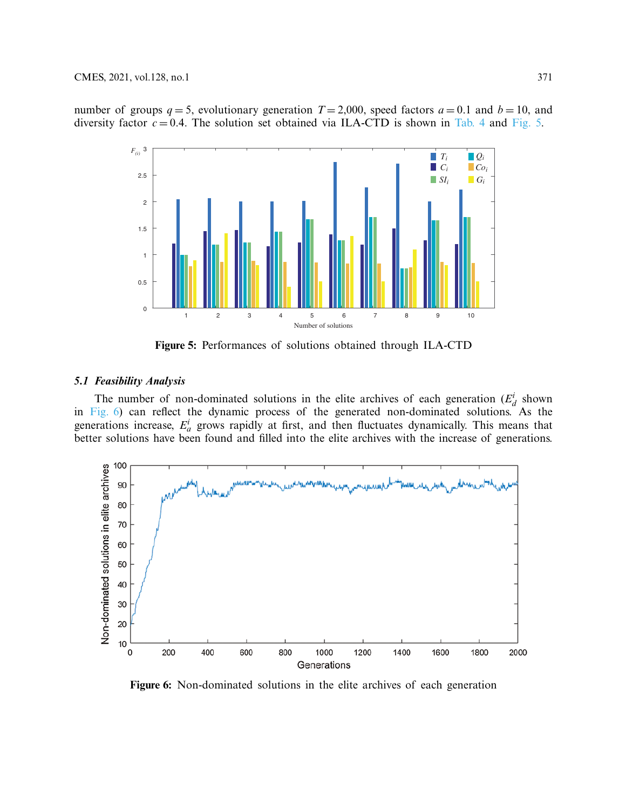number of groups  $q = 5$ , evolutionary generation  $T = 2,000$ , speed factors  $a = 0.1$  and  $b = 10$ , and diversity factor  $c = 0.4$ . The solution set obtained via ILA-CTD is shown in [Tab. 4](#page-11-2) and [Fig. 5.](#page-12-0)



<span id="page-12-0"></span>**Figure 5:** Performances of solutions obtained through ILA-CTD

## *5.1 Feasibility Analysis*

The number of non-dominated solutions in the elite archives of each generation  $(E_d^i)$  shown in [Fig. 6\)](#page-12-1) can reflect the dynamic process of the generated non-dominated solutions. As the generations increase,  $E^i_a$  grows rapidly at first, and then fluctuates dynamically. This means that better solutions have been found and filled into the elite archives with the increase of generations.



<span id="page-12-1"></span>**Figure 6:** Non-dominated solutions in the elite archives of each generation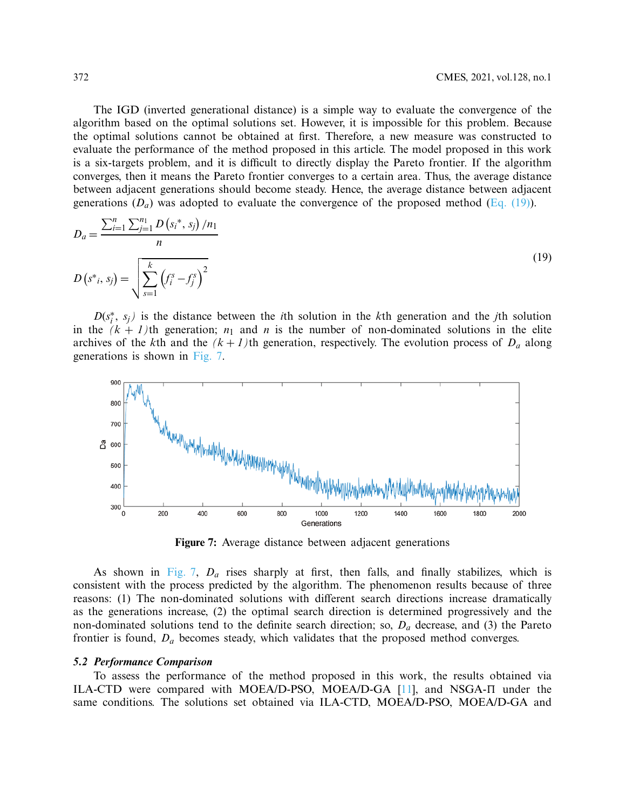The IGD (inverted generational distance) is a simple way to evaluate the convergence of the algorithm based on the optimal solutions set. However, it is impossible for this problem. Because the optimal solutions cannot be obtained at first. Therefore, a new measure was constructed to evaluate the performance of the method proposed in this article. The model proposed in this work is a six-targets problem, and it is difficult to directly display the Pareto frontier. If the algorithm converges, then it means the Pareto frontier converges to a certain area. Thus, the average distance between adjacent generations should become steady. Hence, the average distance between adjacent generations  $(D_a)$  was adopted to evaluate the convergence of the proposed method [\(Eq. \(19\)\)](#page-13-0).

<span id="page-13-0"></span>
$$
D_a = \frac{\sum_{i=1}^n \sum_{j=1}^{n_1} D(s_i^*, s_j)/n_1}{n}
$$
  

$$
D(s^*, s_j) = \sqrt{\sum_{s=1}^k (f_i^s - f_j^s)^2}
$$
 (19)

 $D(s_i^*, s_j)$  is the distance between the *i*th solution in the *k*th generation and the *j*th solution in the  $(k + 1)$ th generation;  $n_1$  and *n* is the number of non-dominated solutions in the elite archives of the *k*th and the  $(k + 1)$ th generation, respectively. The evolution process of  $D_a$  along generations is shown in [Fig. 7.](#page-13-1)



<span id="page-13-1"></span>**Figure 7:** Average distance between adjacent generations

As shown in [Fig. 7,](#page-13-1) *Da* rises sharply at first, then falls, and finally stabilizes, which is consistent with the process predicted by the algorithm. The phenomenon results because of three reasons: (1) The non-dominated solutions with different search directions increase dramatically as the generations increase, (2) the optimal search direction is determined progressively and the non-dominated solutions tend to the definite search direction; so, *Da* decrease, and (3) the Pareto frontier is found, *Da* becomes steady, which validates that the proposed method converges.

#### *5.2 Performance Comparison*

To assess the performance of the method proposed in this work, the results obtained via ILA-CTD were compared with MOEA/D-PSO, MOEA/D-GA  $[11]$  $[11]$ , and NSGA- $\Pi$  under the same conditions. The solutions set obtained via ILA-CTD, MOEA/D-PSO, MOEA/D-GA and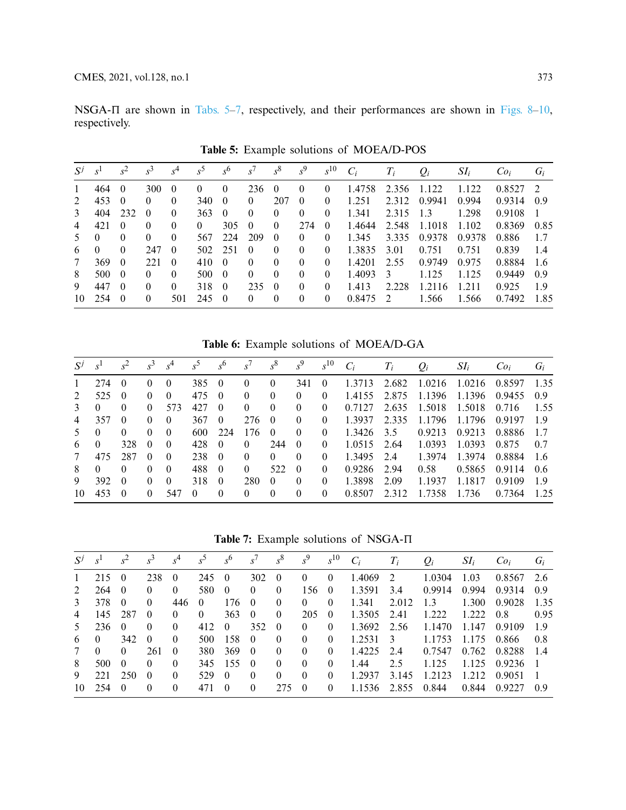NSGA- $\Pi$  are shown in [Tabs. 5–](#page-14-0)[7,](#page-14-1) respectively, and their performances are shown in [Figs. 8](#page-15-0)[–10,](#page-16-0) respectively.

| $S^{j}$        | S <sup>1</sup> | $s^2$    | $s^3$    | $s^4$    | $s^5$    | s <sup>6</sup> | $S^{\prime}$ | $s^8$    | $s^9$    | $s^{10}$ | $C_i$  | $T_i$          | $Q_i$  | $SI_i$ | Co <sub>i</sub> | $G_i$ |
|----------------|----------------|----------|----------|----------|----------|----------------|--------------|----------|----------|----------|--------|----------------|--------|--------|-----------------|-------|
| 1              | 464            | -0       | 300      | $\theta$ | $\theta$ | $\theta$       | 236          | $\Omega$ | $\theta$ | $\theta$ | 1.4758 | 2.356          | 1.122  | 1.122  | $0.8527$ 2      |       |
| $2^{\circ}$    | 453            | $\Omega$ | $\Omega$ | $\theta$ | 340      | $\theta$       | $\Omega$     | 207      | $\Omega$ | $\theta$ | 1.251  | 2.312          | 0.9941 | 0.994  | 0.9314          | 0.9   |
| $\mathcal{E}$  | 404            | 232      | $\theta$ | $\theta$ | 363      | $\Omega$       | $\Omega$     | $\Omega$ | $\Omega$ | $\Omega$ | 1.341  | 2.315          | 1.3    | 1.298  | 0.9108          | 1     |
| $\overline{4}$ | 421            | $\theta$ |          | $\theta$ | $\Omega$ | 305            | $\Omega$     | $\theta$ | 274      | $\Omega$ | 1.4644 | 2.548          | 1.1018 | 1.102  | 0.8369          | 0.85  |
| 5              | $\Omega$       |          | $\theta$ | $\theta$ | 567      | 224            | 209          | $\theta$ | $\theta$ | $\theta$ | 1.345  | 3.335          | 0.9378 | 0.9378 | 0.886           | 1.7   |
| 6              | $\theta$       | $\Omega$ | 247      | $\theta$ | 502      | 251            | $\theta$     | $\theta$ | $\Omega$ | $\theta$ | 1.3835 | 3.01           | 0.751  | 0.751  | 0.839           | 1.4   |
| 7              | 369            | $\Omega$ | 22.1     | $\theta$ | 410      | $\Omega$       | $\theta$     | $\Omega$ | $\Omega$ | $\theta$ | 1.4201 | 2.55           | 0.9749 | 0.975  | 0.8884          | 1.6   |
| 8              | 500            | $\theta$ | $\theta$ | $\theta$ | 500      | $\Omega$       | $\theta$     | $\Omega$ | $\theta$ | $\theta$ | 1.4093 | 3              | 1.125  | 1.125  | 0.9449          | 0.9   |
| 9              | 447            | $\Omega$ | $\theta$ | $\theta$ | 318      | $\Omega$       | 235          | $\Omega$ | 0        | 0        | 1.413  | 2.228          | 1.2116 | 1.211  | 0.925           | 19    |
| 10             | 254            | $\Omega$ |          | 501      | 245      | $\Omega$       | $\Omega$     | $\theta$ | $\theta$ | $\theta$ | 0.8475 | $\overline{2}$ | 1.566  | 1.566  | 0.7492          | 1.85  |

<span id="page-14-0"></span>**Table 5:** Example solutions of MOEA/D-POS

**Table 6:** Example solutions of MOEA/D-GA

| $S^j$         | S <sup>1</sup> | $s^2$    | $s^3$    | s <sup>4</sup> | $s^5$    | s <sup>6</sup> | $s^7$    | $s^8$    | $s^9$    | $s^{10}$ | $C_i$  | $T_i$ | $Q_i$  | $SI_i$ | Co <sub>i</sub> | $G_i$ |
|---------------|----------------|----------|----------|----------------|----------|----------------|----------|----------|----------|----------|--------|-------|--------|--------|-----------------|-------|
| $\mathbf{1}$  | 274            | $\Omega$ | $\theta$ | $\theta$       | 385      | - ()           | $\theta$ | $\Omega$ | 341      | $\theta$ | 1.3713 | 2.682 | 1.0216 | 1.0216 | 0.8597          | 1.35  |
| $2^{1}$       | 525            | $\Omega$ | 0        | $\Omega$       | 475      | $\Omega$       | $\theta$ | 0        | $\Omega$ | 0        | 1.4155 | 2.875 | 1.1396 | 1.1396 | 0.9455          | 09    |
| $\mathcal{E}$ | $\Omega$       | $\Omega$ | $\theta$ | 573            | 42.7     | $\Omega$       | $\Omega$ | 0        | 0        | 0        | 0.7127 | 2.635 | 1.5018 | 1.5018 | 0.716           | 1.55  |
| 4             | 357            | $\theta$ | 0        | $\Omega$       | 367      | $\Omega$       | 276      | $\Omega$ | $\Omega$ | $\Omega$ | 1.3937 | 2.335 | 1.1796 | 1.1796 | 0.9197          | 19    |
| 5.            | $\Omega$       | $\Omega$ | $\Omega$ | $\Omega$       | 600      | 224            | 176      | $\left($ | 0        | $\theta$ | 1.3426 | 3.5   | 0.9213 | 0.9213 | 0.8886          | 17    |
| 6             | $\Omega$       | 328      | $\Omega$ | $\Omega$       | 428      | $\Omega$       | $\Omega$ | 244      | $\Omega$ | $\Omega$ | 1.0515 | 2.64  | 1.0393 | 1.0393 | 0.875           | 0.7   |
| $\tau$        | 475            | 287      | $\Omega$ | $\Omega$       | 238      | -0             | $\theta$ | $\Omega$ | 0        | $\Omega$ | 1.3495 | 2.4   | 1.3974 | 1.3974 | 0.8884          | -1.6  |
| 8             | $\Omega$       | 0        | $\Omega$ | $\Omega$       | 488      | $\theta$       | $\Omega$ | 522      | 0        | $\Omega$ | 0.9286 | 2.94  | 0.58   | 0.5865 | 0.9114          | 0.6   |
| 9             | 392            | $\Omega$ | 0        | $\Omega$       | 318      | $\theta$       | 280      | $\Omega$ | 0        | $\Omega$ | 1.3898 | 2.09  | 1.1937 | 1.1817 | 0.9109          | 19    |
| 10            | 453            | $\Omega$ | 0        | 547            | $\Omega$ | $\theta$       | $\theta$ | $\Omega$ | 0        | $\Omega$ | 0.8507 | 2.312 | 1.7358 | 1.736  | 0.7364          | 1 25  |

<span id="page-14-1"></span>Table 7: Example solutions of NSGA- $\Pi$ 

| S <sup>1</sup> | $s^2$    | $s^3$                                   |          |          |                |          |                                  |          |          |                                              |       |                              |        |                 |                |
|----------------|----------|-----------------------------------------|----------|----------|----------------|----------|----------------------------------|----------|----------|----------------------------------------------|-------|------------------------------|--------|-----------------|----------------|
|                |          |                                         | $s^4$    | $s^5$    | s <sup>6</sup> | $s^7$    | $s^8$                            | $s^9$    | $s^{10}$ | $C_i$                                        | $T_i$ | $Q_i$                        | $SI_i$ | Co <sub>i</sub> | $G_i$          |
| 215            |          | 238                                     | $\Omega$ | 245      | $\Omega$       | 302      | $\theta$                         | $\theta$ | $\theta$ | 1.4069                                       |       | 1.0304                       | 1.03   | 0.8567          | 2.6            |
| 264            |          | $\Omega$                                | $\theta$ | 580      | $\theta$       | 0        | $\theta$                         | 156      |          | 1.3591                                       | 3.4   | 0.9914                       | 0.994  | 0.9314          | 0.9            |
| 378            |          | $\Omega$                                | 446      | $\theta$ | 176            |          | 0                                | $\Omega$ | $\theta$ | 1.341                                        | 2.012 | 1.3                          | 1.300  | 0.9028          | 1.35           |
| 145            | 287      | $\theta$                                | $\theta$ | $\theta$ | 363            | $\theta$ | $\theta$                         | 205      |          | 1.3505                                       | 2.41  | 1.222                        | 1222   | 0.8             | 0.95           |
| 236            |          | $\theta$                                | $\theta$ | 412      | $\theta$       | 352      | $\theta$                         | $\theta$ | $\theta$ | 1.3692                                       |       | 1.1470                       | 1.147  | 0.9109          | 19             |
| $\Omega$       | 342      | $\theta$                                | $\theta$ | 500      | 158            | $\theta$ | $\Omega$                         | $\theta$ | $\theta$ | 1.2531                                       |       | 1.1753                       | 1.175  | 0.866           | 0.8            |
| $\Omega$       | $\theta$ | 261                                     | $\theta$ | 380      | 369            |          | $\Omega$                         | $\theta$ | $\theta$ | 1.4225                                       | 2.4   | 0.7547                       | 0.762  | 0.8288          | 14             |
| 500            | $\Omega$ | $\theta$                                | $\theta$ | 345      | -155           |          | $\Omega$                         | $\theta$ | $\Omega$ | 1.44                                         | 2.5   | 1.125                        | 1.125  | 0.9236          | $\overline{1}$ |
| 221            | 250      | $\Omega$                                | $\theta$ | 529      | $\Omega$       | 0        | $\Omega$                         | $\Omega$ | $\Omega$ | 1.2937                                       | 3.145 | 1.2123                       | 1.212  | 0.9051          | $\overline{1}$ |
| 254            |          | $\Omega$                                | $\theta$ | 471      | $\Omega$       | 0        | 275                              | $\Omega$ | $\Omega$ | 1.1536                                       | 2.855 | 0.844                        | 0.844  | 0.9227          | 0.9            |
|                |          | - 0<br>$\theta$<br>$\theta$<br>$\theta$ |          |          |                |          | $\theta$<br>$\theta$<br>$\theta$ |          |          | $\begin{array}{c} 0 \end{array}$<br>$\theta$ |       | 2<br>-2.56<br>$\overline{3}$ |        |                 |                |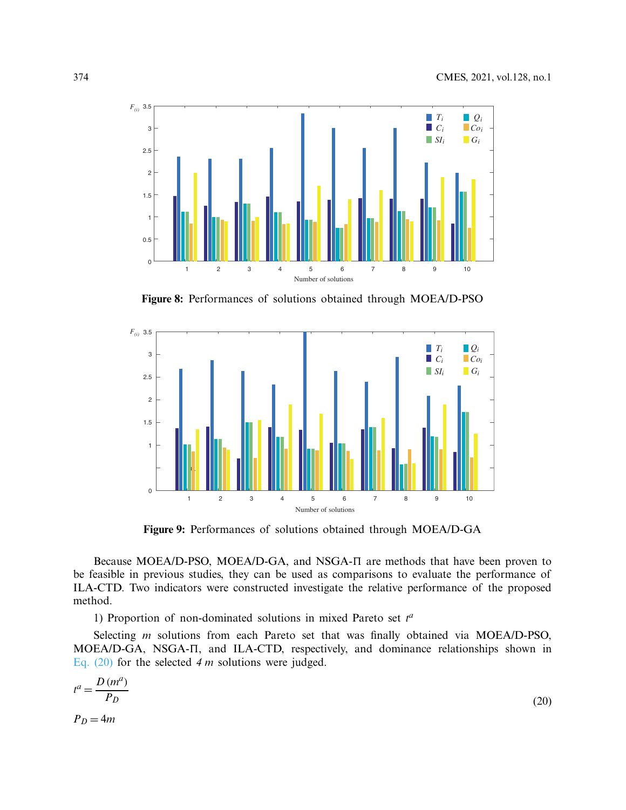

<span id="page-15-0"></span>**Figure 8:** Performances of solutions obtained through MOEA/D-PSO



<span id="page-15-1"></span>**Figure 9:** Performances of solutions obtained through MOEA/D-GA

Because MOEA/D-PSO, MOEA/D-GA, and NSGA- $\Pi$  are methods that have been proven to be feasible in previous studies, they can be used as comparisons to evaluate the performance of ILA-CTD. Two indicators were constructed investigate the relative performance of the proposed method.

1) Proportion of non-dominated solutions in mixed Pareto set  $t^a$ 

Selecting *m* solutions from each Pareto set that was finally obtained via MOEA/D-PSO, MOEA/D-GA, NSGA- $\Pi$ , and ILA-CTD, respectively, and dominance relationships shown in [Eq. \(20\)](#page-15-1) for the selected *4 m* solutions were judged.

$$
t^{a} = \frac{D\left(m^{a}\right)}{P_{D}}
$$
\n
$$
P_{D} = 4m
$$
\n(20)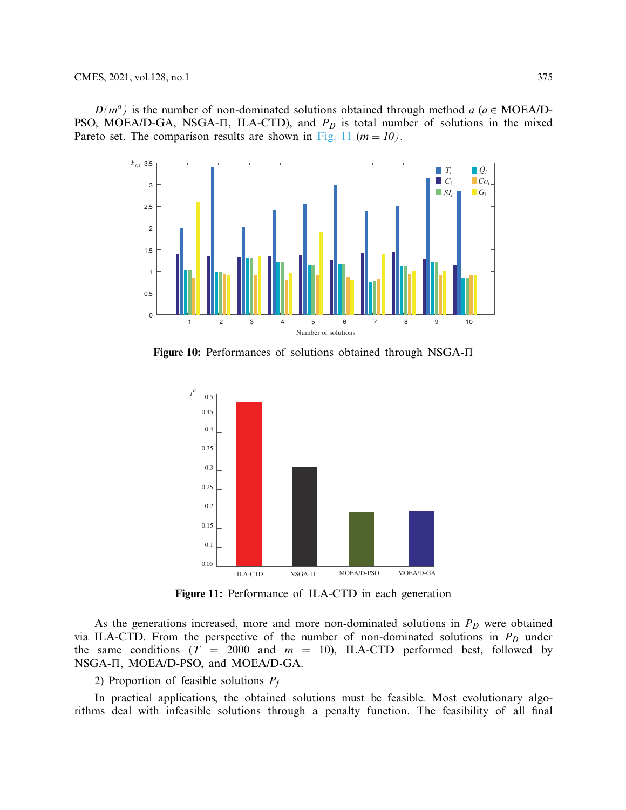$D(m^a)$  is the number of non-dominated solutions obtained through method *a* ( $a \in \text{MOE}$ A/D-PSO, MOEA/D-GA, NSGA- $\Pi$ , ILA-CTD), and  $P_D$  is total number of solutions in the mixed Pareto set. The comparison results are shown in [Fig. 11](#page-16-1) ( $m = 10$ ).



**Figure 10:** Performances of solutions obtained through NSGA- $\Pi$ 

<span id="page-16-0"></span>

<span id="page-16-1"></span>**Figure 11:** Performance of ILA-CTD in each generation

As the generations increased, more and more non-dominated solutions in  $P_D$  were obtained via ILA-CTD. From the perspective of the number of non-dominated solutions in  $P_D$  under the same conditions  $(T = 2000$  and  $m = 10)$ , ILA-CTD performed best, followed by NSGA- $\Pi$ , MOEA/D-PSO, and MOEA/D-GA.

2) Proportion of feasible solutions *Pf*

In practical applications, the obtained solutions must be feasible. Most evolutionary algorithms deal with infeasible solutions through a penalty function. The feasibility of all final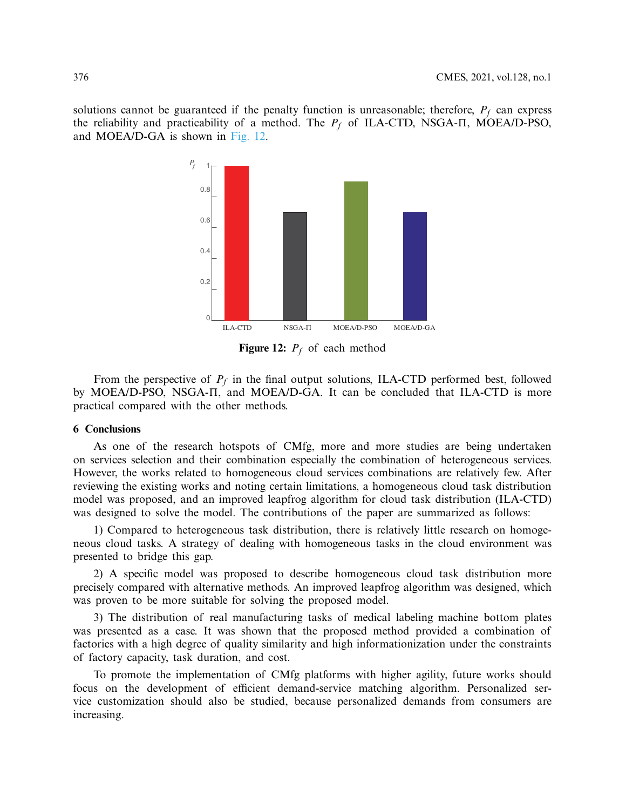solutions cannot be guaranteed if the penalty function is unreasonable; therefore,  $P_f$  can express the reliability and practicability of a method. The  $P_f$  of ILA-CTD, NSGA- $\Pi$ , MOEA/D-PSO, and MOEA/D-GA is shown in [Fig. 12.](#page-17-0)



<span id="page-17-0"></span>**Figure 12:** *Pf* of each method

From the perspective of *Pf* in the final output solutions, ILA-CTD performed best, followed by MOEA/D-PSO, NSGA- $\Pi$ , and MOEA/D-GA. It can be concluded that ILA-CTD is more practical compared with the other methods.

## **6 Conclusions**

As one of the research hotspots of CMfg, more and more studies are being undertaken on services selection and their combination especially the combination of heterogeneous services. However, the works related to homogeneous cloud services combinations are relatively few. After reviewing the existing works and noting certain limitations, a homogeneous cloud task distribution model was proposed, and an improved leapfrog algorithm for cloud task distribution (ILA-CTD) was designed to solve the model. The contributions of the paper are summarized as follows:

1) Compared to heterogeneous task distribution, there is relatively little research on homogeneous cloud tasks. A strategy of dealing with homogeneous tasks in the cloud environment was presented to bridge this gap.

2) A specific model was proposed to describe homogeneous cloud task distribution more precisely compared with alternative methods. An improved leapfrog algorithm was designed, which was proven to be more suitable for solving the proposed model.

3) The distribution of real manufacturing tasks of medical labeling machine bottom plates was presented as a case. It was shown that the proposed method provided a combination of factories with a high degree of quality similarity and high informationization under the constraints of factory capacity, task duration, and cost.

To promote the implementation of CMfg platforms with higher agility, future works should focus on the development of efficient demand-service matching algorithm. Personalized service customization should also be studied, because personalized demands from consumers are increasing.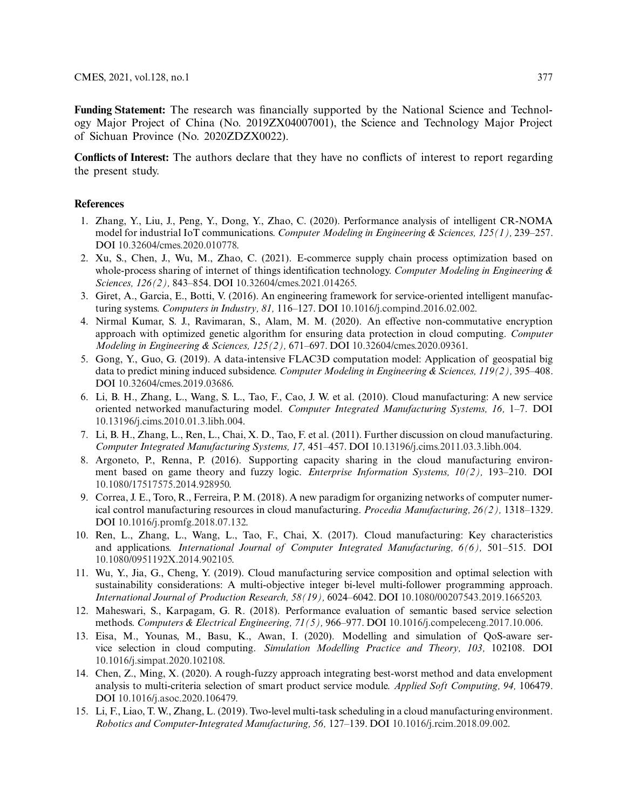**Funding Statement:** The research was financially supported by the National Science and Technology Major Project of China (No. 2019ZX04007001), the Science and Technology Major Project of Sichuan Province (No. 2020ZDZX0022).

**Conflicts of Interest:** The authors declare that they have no conflicts of interest to report regarding the present study.

## **References**

- <span id="page-18-0"></span>1. Zhang, Y., Liu, J., Peng, Y., Dong, Y., Zhao, C. (2020). Performance analysis of intelligent CR-NOMA model for industrial IoT communications. *Computer Modeling in Engineering & Sciences, 125(1),* 239–257. DOI [10.32604/cmes.2020.010778.](http://dx.doi.org/10.32604/cmes.2020.010778)
- <span id="page-18-1"></span>2. Xu, S., Chen, J., Wu, M., Zhao, C. (2021). E-commerce supply chain process optimization based on whole-process sharing of internet of things identification technology. *Computer Modeling in Engineering & Sciences, 126(2),* 843–854. DOI [10.32604/cmes.2021.014265.](http://dx.doi.org/10.32604/cmes.2021.014265)
- <span id="page-18-2"></span>3. Giret, A., Garcia, E., Botti, V. (2016). An engineering framework for service-oriented intelligent manufacturing systems. *Computers in Industry, 81,* 116–127. DOI [10.1016/j.compind.2016.02.002.](http://dx.doi.org/10.1016/j.compind.2016.02.002)
- <span id="page-18-3"></span>4. Nirmal Kumar, S. J., Ravimaran, S., Alam, M. M. (2020). An effective non-commutative encryption approach with optimized genetic algorithm for ensuring data protection in cloud computing. *Computer Modeling in Engineering & Sciences, 125(2),* 671–697. DOI [10.32604/cmes.2020.09361.](http://dx.doi.org/10.32604/cmes.2020.09361)
- <span id="page-18-4"></span>5. Gong, Y., Guo, G. (2019). A data-intensive FLAC3D computation model: Application of geospatial big data to predict mining induced subsidence. *Computer Modeling in Engineering & Sciences, 119(2),* 395–408. DOI [10.32604/cmes.2019.03686.](http://dx.doi.org/10.32604/cmes.2019.03686)
- <span id="page-18-5"></span>6. Li, B. H., Zhang, L., Wang, S. L., Tao, F., Cao, J. W. et al. (2010). Cloud manufacturing: A new service oriented networked manufacturing model. *Computer Integrated Manufacturing Systems, 16,* 1–7. DOI [10.13196/j.cims.2010.01.3.libh.004.](http://dx.doi.org/10.13196/j.cims.2010.01.3.libh.004)
- <span id="page-18-6"></span>7. Li, B. H., Zhang, L., Ren, L., Chai, X. D., Tao, F. et al. (2011). Further discussion on cloud manufacturing. *Computer Integrated Manufacturing Systems, 17,* 451–457. DOI [10.13196/j.cims.2011.03.3.libh.004.](http://dx.doi.org/10.13196/j.cims.2011.03.3.libh.004)
- <span id="page-18-7"></span>8. Argoneto, P., Renna, P. (2016). Supporting capacity sharing in the cloud manufacturing environment based on game theory and fuzzy logic. *Enterprise Information Systems, 10(2),* 193–210. DOI [10.1080/17517575.2014.928950.](http://dx.doi.org/10.1080/17517575.2014.928950)
- <span id="page-18-8"></span>9. Correa, J. E., Toro, R., Ferreira, P. M. (2018). A new paradigm for organizing networks of computer numerical control manufacturing resources in cloud manufacturing. *Procedia Manufacturing, 26(2),* 1318–1329. DOI [10.1016/j.promfg.2018.07.132.](http://dx.doi.org/10.1016/j.promfg.2018.07.132)
- <span id="page-18-9"></span>10. Ren, L., Zhang, L., Wang, L., Tao, F., Chai, X. (2017). Cloud manufacturing: Key characteristics and applications. *International Journal of Computer Integrated Manufacturing, 6(6),* 501–515. DOI [10.1080/0951192X.2014.902105.](http://dx.doi.org/10.1080/0951192X.2014.902105)
- <span id="page-18-10"></span>11. Wu, Y., Jia, G., Cheng, Y. (2019). Cloud manufacturing service composition and optimal selection with sustainability considerations: A multi-objective integer bi-level multi-follower programming approach. *International Journal of Production Research, 58(19),* 6024–6042. DOI [10.1080/00207543.2019.1665203.](http://dx.doi.org/10.1080/00207543.2019.1665203)
- <span id="page-18-11"></span>12. Maheswari, S., Karpagam, G. R. (2018). Performance evaluation of semantic based service selection methods. *Computers & Electrical Engineering, 71(5),* 966–977. DOI [10.1016/j.compeleceng.2017.10.006.](http://dx.doi.org/10.1016/j.compeleceng.2017.10.006)
- <span id="page-18-12"></span>13. Eisa, M., Younas, M., Basu, K., Awan, I. (2020). Modelling and simulation of QoS-aware service selection in cloud computing. *Simulation Modelling Practice and Theory, 103,* 102108. DOI [10.1016/j.simpat.2020.102108.](http://dx.doi.org/10.1016/j.simpat.2020.102108)
- <span id="page-18-13"></span>14. Chen, Z., Ming, X. (2020). A rough-fuzzy approach integrating best-worst method and data envelopment analysis to multi-criteria selection of smart product service module. *Applied Soft Computing, 94,* 106479. DOI [10.1016/j.asoc.2020.106479.](http://dx.doi.org/10.1016/j.asoc.2020.106479)
- <span id="page-18-14"></span>15. Li, F., Liao, T. W., Zhang, L. (2019). Two-level multi-task scheduling in a cloud manufacturing environment. *Robotics and Computer-Integrated Manufacturing, 56,* 127–139. DOI [10.1016/j.rcim.2018.09.002.](http://dx.doi.org/10.1016/j.rcim.2018.09.002)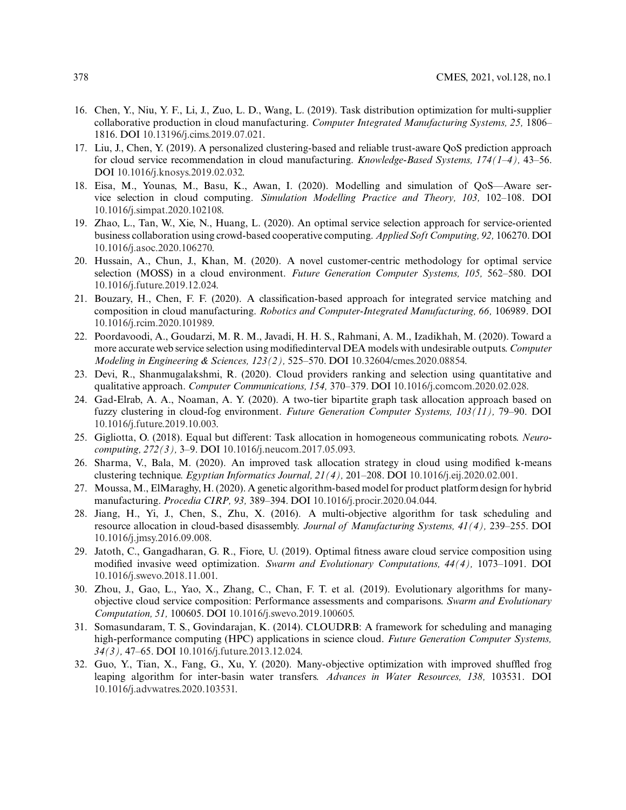- <span id="page-19-0"></span>16. Chen, Y., Niu, Y. F., Li, J., Zuo, L. D., Wang, L. (2019). Task distribution optimization for multi-supplier collaborative production in cloud manufacturing. *Computer Integrated Manufacturing Systems, 25,* 1806– 1816. DOI [10.13196/j.cims.2019.07.021.](http://dx.doi.org/10.13196/j.cims.2019.07.021)
- <span id="page-19-1"></span>17. Liu, J., Chen, Y. (2019). A personalized clustering-based and reliable trust-aware QoS prediction approach for cloud service recommendation in cloud manufacturing. *Knowledge-Based Systems, 174(1–4),* 43–56. DOI [10.1016/j.knosys.2019.02.032.](http://dx.doi.org/10.1016/j.knosys.2019.02.032)
- <span id="page-19-2"></span>18. Eisa, M., Younas, M., Basu, K., Awan, I. (2020). Modelling and simulation of QoS—Aware service selection in cloud computing. *Simulation Modelling Practice and Theory, 103,* 102–108. DOI [10.1016/j.simpat.2020.102108.](http://dx.doi.org/10.1016/j.simpat.2020.102108)
- <span id="page-19-3"></span>19. Zhao, L., Tan, W., Xie, N., Huang, L. (2020). An optimal service selection approach for service-oriented business collaboration using crowd-based cooperative computing. *Applied Soft Computing, 92,* 106270. DOI [10.1016/j.asoc.2020.106270.](http://dx.doi.org/10.1016/j.asoc.2020.106270)
- <span id="page-19-4"></span>20. Hussain, A., Chun, J., Khan, M. (2020). A novel customer-centric methodology for optimal service selection (MOSS) in a cloud environment. *Future Generation Computer Systems, 105,* 562–580. DOI [10.1016/j.future.2019.12.024.](http://dx.doi.org/10.1016/j.future.2019.12.024)
- <span id="page-19-5"></span>21. Bouzary, H., Chen, F. F. (2020). A classification-based approach for integrated service matching and composition in cloud manufacturing. *Robotics and Computer-Integrated Manufacturing, 66,* 106989. DOI [10.1016/j.rcim.2020.101989.](http://dx.doi.org/10.1016/j.rcim.2020.101989)
- <span id="page-19-6"></span>22. Poordavoodi, A., Goudarzi, M. R. M., Javadi, H. H. S., Rahmani, A. M., Izadikhah, M. (2020). Toward a more accurate web service selection using modifiedinterval DEA models with undesirable outputs. *Computer Modeling in Engineering & Sciences, 123(2),* 525–570. DOI [10.32604/cmes.2020.08854.](http://dx.doi.org/10.32604/cmes.2020.08854)
- <span id="page-19-7"></span>23. Devi, R., Shanmugalakshmi, R. (2020). Cloud providers ranking and selection using quantitative and qualitative approach. *Computer Communications, 154,* 370–379. DOI [10.1016/j.comcom.2020.02.028.](http://dx.doi.org/10.1016/j.comcom.2020.02.028)
- <span id="page-19-8"></span>24. Gad-Elrab, A. A., Noaman, A. Y. (2020). A two-tier bipartite graph task allocation approach based on fuzzy clustering in cloud-fog environment. *Future Generation Computer Systems, 103(11),* 79–90. DOI [10.1016/j.future.2019.10.003.](http://dx.doi.org/10.1016/j.future.2019.10.003)
- <span id="page-19-9"></span>25. Gigliotta, O. (2018). Equal but different: Task allocation in homogeneous communicating robots. *Neurocomputing, 272(3),* 3–9. DOI [10.1016/j.neucom.2017.05.093.](http://dx.doi.org/10.1016/j.neucom.2017.05.093)
- <span id="page-19-10"></span>26. Sharma, V., Bala, M. (2020). An improved task allocation strategy in cloud using modified k-means clustering technique. *Egyptian Informatics Journal, 21(4),* 201–208. DOI [10.1016/j.eij.2020.02.001.](http://dx.doi.org/10.1016/j.eij.2020.02.001)
- <span id="page-19-11"></span>27. Moussa,M., ElMaraghy, H. (2020). A genetic algorithm-based model for product platform design for hybrid manufacturing. *Procedia CIRP, 93,* 389–394. DOI [10.1016/j.procir.2020.04.044.](http://dx.doi.org/10.1016/j.procir.2020.04.044)
- <span id="page-19-12"></span>28. Jiang, H., Yi, J., Chen, S., Zhu, X. (2016). A multi-objective algorithm for task scheduling and resource allocation in cloud-based disassembly. *Journal of Manufacturing Systems, 41(4),* 239–255. DOI [10.1016/j.jmsy.2016.09.008.](http://dx.doi.org/10.1016/j.jmsy.2016.09.008)
- <span id="page-19-13"></span>29. Jatoth, C., Gangadharan, G. R., Fiore, U. (2019). Optimal fitness aware cloud service composition using modified invasive weed optimization. *Swarm and Evolutionary Computations, 44(4),* 1073–1091. DOI [10.1016/j.swevo.2018.11.001.](http://dx.doi.org/10.1016/j.swevo.2018.11.001)
- <span id="page-19-14"></span>30. Zhou, J., Gao, L., Yao, X., Zhang, C., Chan, F. T. et al. (2019). Evolutionary algorithms for manyobjective cloud service composition: Performance assessments and comparisons. *Swarm and Evolutionary Computation, 51,* 100605. DOI [10.1016/j.swevo.2019.100605.](http://dx.doi.org/10.1016/j.swevo.2019.100605)
- <span id="page-19-15"></span>31. Somasundaram, T. S., Govindarajan, K. (2014). CLOUDRB: A framework for scheduling and managing high-performance computing (HPC) applications in science cloud. *Future Generation Computer Systems, 34(3),* 47–65. DOI [10.1016/j.future.2013.12.024.](http://dx.doi.org/10.1016/j.future.2013.12.024)
- <span id="page-19-16"></span>32. Guo, Y., Tian, X., Fang, G., Xu, Y. (2020). Many-objective optimization with improved shuffled frog leaping algorithm for inter-basin water transfers. *Advances in Water Resources, 138,* 103531. DOI [10.1016/j.advwatres.2020.103531.](http://dx.doi.org/10.1016/j.advwatres.2020.103531)